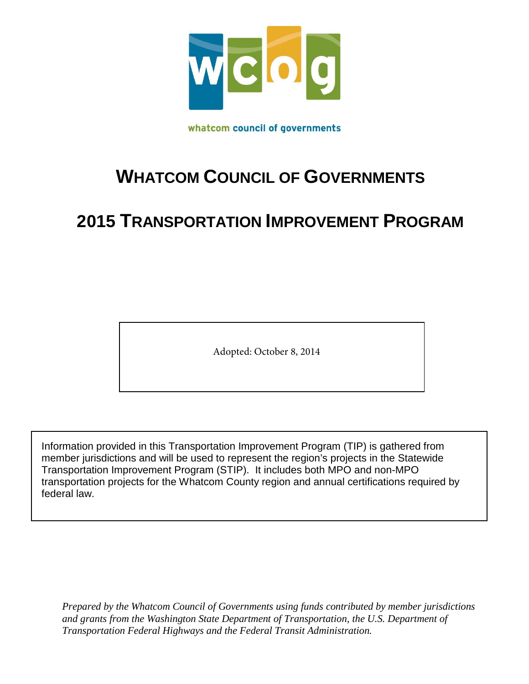

whatcom council of governments

# **WHATCOM COUNCIL OF GOVERNMENTS**

# **2015 TRANSPORTATION IMPROVEMENT PROGRAM**

Adopted: October 8, 2014

Information provided in this Transportation Improvement Program (TIP) is gathered from member jurisdictions and will be used to represent the region's projects in the Statewide Transportation Improvement Program (STIP). It includes both MPO and non-MPO transportation projects for the Whatcom County region and annual certifications required by federal law.

*Prepared by the Whatcom Council of Governments using funds contributed by member jurisdictions and grants from the Washington State Department of Transportation, the U.S. Department of Transportation Federal Highways and the Federal Transit Administration.*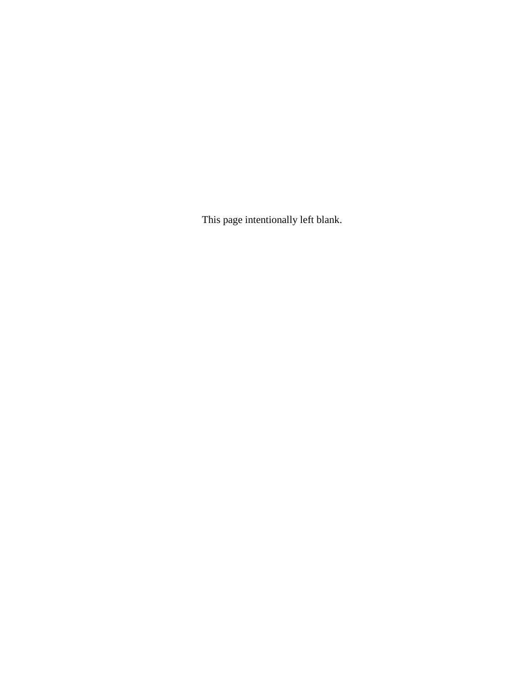This page intentionally left blank.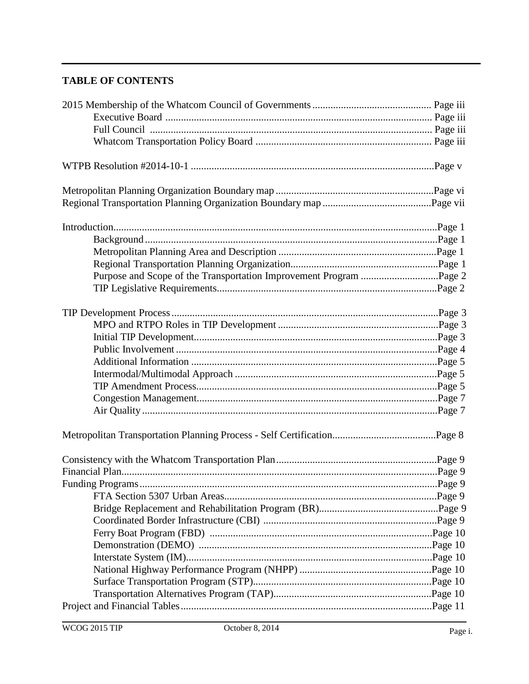# **TABLE OF CONTENTS**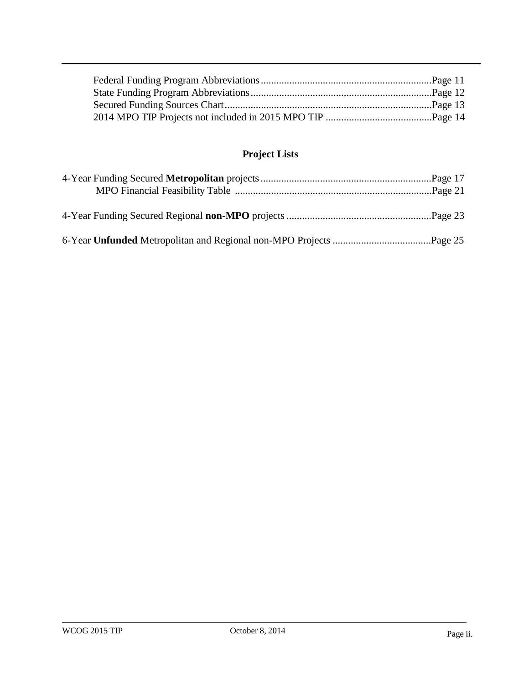# **Project Lists**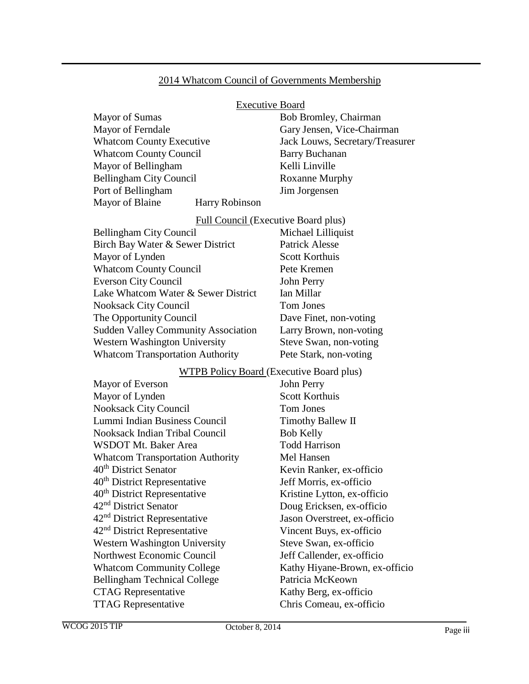#### 2014 Whatcom Council of Governments Membership

#### Executive Board

Mayor of Sumas Bob Bromley, Chairman Mayor of Ferndale Gary Jensen, Vice-Chairman Whatcom County Council Barry Buchanan Mayor of Bellingham Kelli Linville Bellingham City Council Roxanne Murphy Port of Bellingham Jim Jorgensen Mayor of Blaine Harry Robinson

Whatcom County Executive Jack Louws, Secretary/Treasurer

#### Full Council (Executive Board plus)

| <b>Bellingham City Council</b>             |
|--------------------------------------------|
| Birch Bay Water & Sewer District           |
| Mayor of Lynden                            |
| <b>Whatcom County Council</b>              |
| <b>Everson City Council</b>                |
| Lake Whatcom Water & Sewer District        |
| <b>Nooksack City Council</b>               |
| The Opportunity Council                    |
| <b>Sudden Valley Community Association</b> |
| Western Washington University              |
| <b>Whatcom Transportation Authority</b>    |

Michael Lilliquist Patrick Alesse Scott Korthuis Pete Kremen John Perry Ian Millar Tom Jones Dave Finet, non-voting Larry Brown, non-voting Steve Swan, non-voting Pete Stark, non-voting

#### WTPB Policy Board (Executive Board plus)

John Perry Scott Korthuis Tom Jones Timothy Ballew II Bob Kelly Todd Harrison **Mel Hansen** Kevin Ranker, ex-officio Jeff Morris, ex-officio Kristine Lytton, ex-officio Doug Ericksen, ex-officio Jason Overstreet, ex-officio Vincent Buys, ex-officio Steve Swan, ex-officio Jeff Callender, ex-officio Kathy Hiyane-Brown, ex-officio Patricia McKeown Kathy Berg, ex-officio Chris Comeau, ex-officio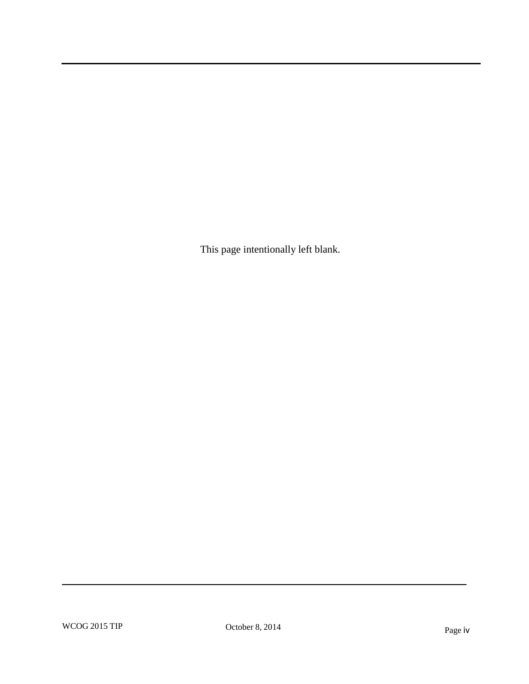This page intentionally left blank.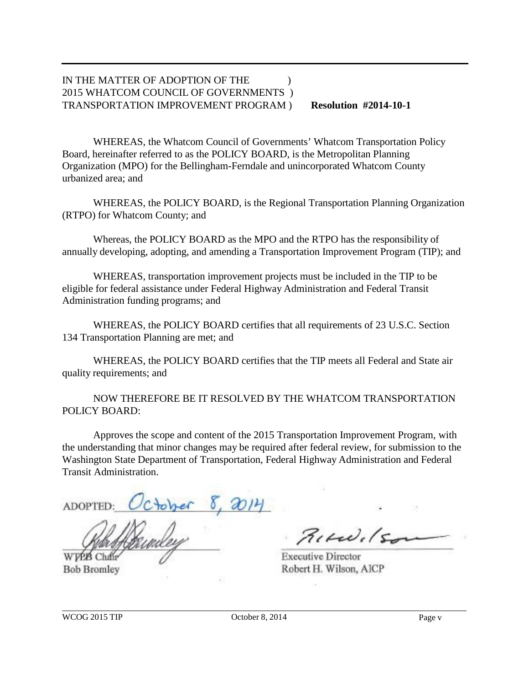# IN THE MATTER OF ADOPTION OF THE  $\qquad\qquad)$ 2015 WHATCOM COUNCIL OF GOVERNMENTS ) TRANSPORTATION IMPROVEMENT PROGRAM ) **Resolution #2014-10-1**

WHEREAS, the Whatcom Council of Governments' Whatcom Transportation Policy Board, hereinafter referred to as the POLICY BOARD, is the Metropolitan Planning Organization (MPO) for the Bellingham-Ferndale and unincorporated Whatcom County urbanized area; and

WHEREAS, the POLICY BOARD, is the Regional Transportation Planning Organization (RTPO) for Whatcom County; and

Whereas, the POLICY BOARD as the MPO and the RTPO has the responsibility of annually developing, adopting, and amending a Transportation Improvement Program (TIP); and

WHEREAS, transportation improvement projects must be included in the TIP to be eligible for federal assistance under Federal Highway Administration and Federal Transit Administration funding programs; and

WHEREAS, the POLICY BOARD certifies that all requirements of 23 U.S.C. Section 134 Transportation Planning are met; and

WHEREAS, the POLICY BOARD certifies that the TIP meets all Federal and State air quality requirements; and

NOW THEREFORE BE IT RESOLVED BY THE WHATCOM TRANSPORTATION POLICY BOARD:

Approves the scope and content of the 2015 Transportation Improvement Program, with the understanding that minor changes may be required after federal review, for submission to the Washington State Department of Transportation, Federal Highway Administration and Federal Transit Administration.

 $ADOPTED:$   $Ocbber$   $\S$ ,  $2014$ 

 $R_t\omega_t/s_t$ 

**Executive Director** Bob Bromley Robert H. Wilson, AICP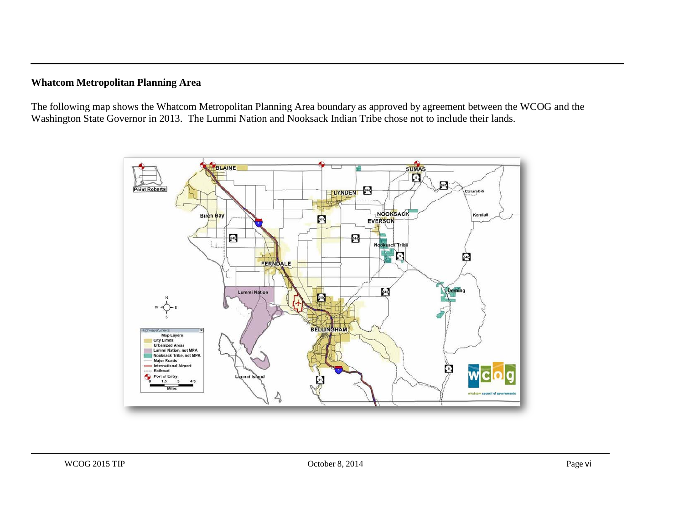# **Whatcom Metropolitan Planning Area**

The following map shows the Whatcom Metropolitan Planning Area boundary as approved by agreement between the WCOG and the Washington State Governor in 2013. The Lummi Nation and Nooksack Indian Tribe chose not to include their lands.

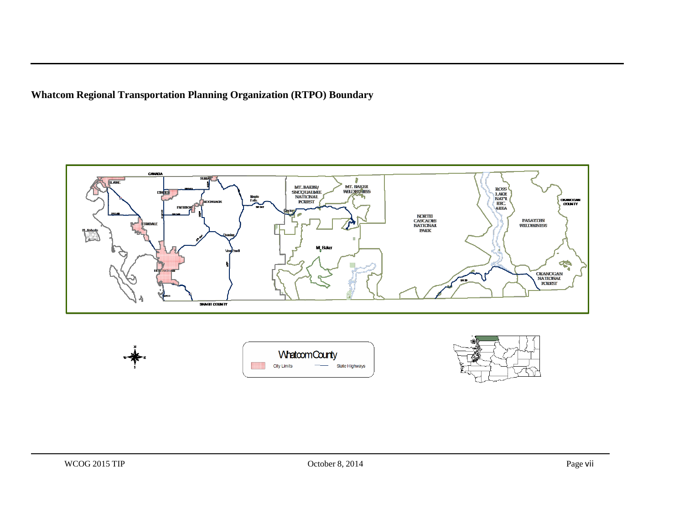**Whatcom Regional Transportation Planning Organization (RTPO) Boundary**





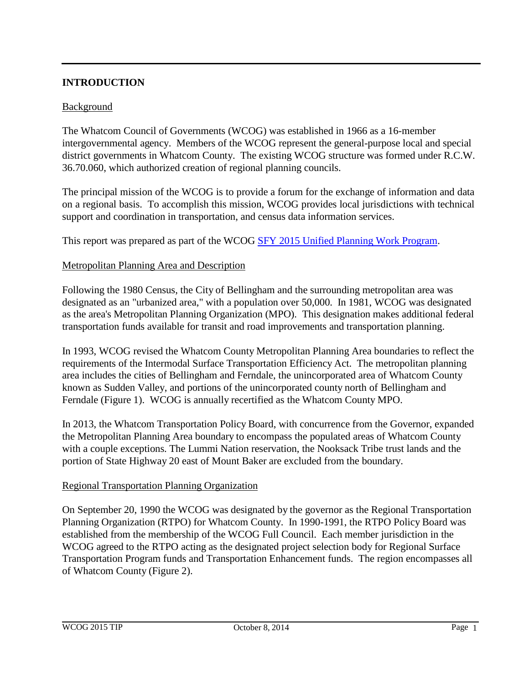# **INTRODUCTION**

# Background

The Whatcom Council of Governments (WCOG) was established in 1966 as a 16-member intergovernmental agency. Members of the WCOG represent the general-purpose local and special district governments in Whatcom County. The existing WCOG structure was formed under R.C.W. 36.70.060, which authorized creation of regional planning councils.

The principal mission of the WCOG is to provide a forum for the exchange of information and data on a regional basis. To accomplish this mission, WCOG provides local jurisdictions with technical support and coordination in transportation, and census data information services.

This report was prepared as part of the WCOG [SFY 2015 Unified](http://wcog.org/wp-content/uploads/WCOG-SFY-2015-UPWP-Final-approved-by-WTPB-14-May-2014.pdf) Planning Work Program.

# Metropolitan Planning Area and Description

Following the 1980 Census, the City of Bellingham and the surrounding metropolitan area was designated as an "urbanized area," with a population over 50,000. In 1981, WCOG was designated as the area's Metropolitan Planning Organization (MPO). This designation makes additional federal transportation funds available for transit and road improvements and transportation planning.

In 1993, WCOG revised the Whatcom County Metropolitan Planning Area boundaries to reflect the requirements of the Intermodal Surface Transportation Efficiency Act. The metropolitan planning area includes the cities of Bellingham and Ferndale, the unincorporated area of Whatcom County known as Sudden Valley, and portions of the unincorporated county north of Bellingham and Ferndale (Figure 1). WCOG is annually recertified as the Whatcom County MPO.

In 2013, the Whatcom Transportation Policy Board, with concurrence from the Governor, expanded the Metropolitan Planning Area boundary to encompass the populated areas of Whatcom County with a couple exceptions. The Lummi Nation reservation, the Nooksack Tribe trust lands and the portion of State Highway 20 east of Mount Baker are excluded from the boundary.

#### Regional Transportation Planning Organization

On September 20, 1990 the WCOG was designated by the governor as the Regional Transportation Planning Organization (RTPO) for Whatcom County. In 1990-1991, the RTPO Policy Board was established from the membership of the WCOG Full Council. Each member jurisdiction in the WCOG agreed to the RTPO acting as the designated project selection body for Regional Surface Transportation Program funds and Transportation Enhancement funds. The region encompasses all of Whatcom County (Figure 2).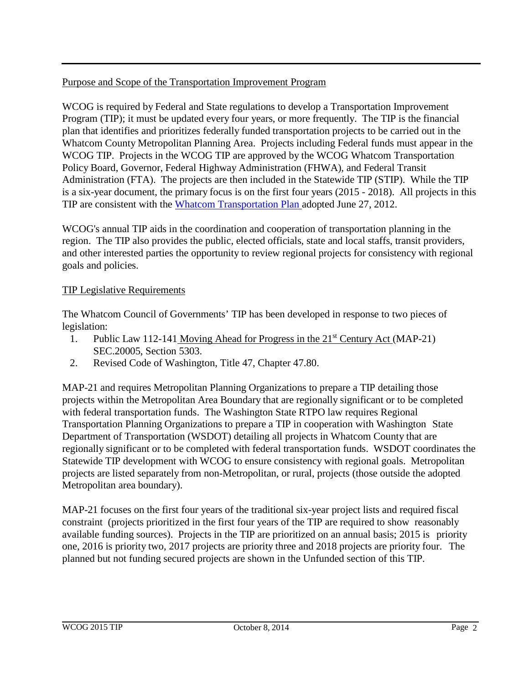# Purpose and Scope of the Transportation Improvement Program

WCOG is required by Federal and State regulations to develop a Transportation Improvement Program (TIP); it must be updated every four years, or more frequently. The TIP is the financial plan that identifies and prioritizes federally funded transportation projects to be carried out in the Whatcom County Metropolitan Planning Area. Projects including Federal funds must appear in the WCOG TIP. Projects in the WCOG TIP are approved by the WCOG Whatcom Transportation Policy Board, Governor, Federal Highway Administration (FHWA), and Federal Transit Administration (FTA). The projects are then included in the Statewide TIP (STIP). While the TIP is a six-year document, the primary focus is on the first four years (2015 - 2018). All projects in this TIP are consistent with the [Whatcom Transportation](http://wcog.org/planning/wtp/) Plan adopted June 27, 2012.

WCOG's annual TIP aids in the coordination and cooperation of transportation planning in the region. The TIP also provides the public, elected officials, state and local staffs, transit providers, and other interested parties the opportunity to review regional projects for consistency with regional goals and policies.

# TIP Legislative Requirements

The Whatcom Council of Governments' TIP has been developed in response to two pieces of legislation:

- 1. Public Law 112-141 Moving Ahead for Progress in the  $21<sup>st</sup>$  Century Act (MAP-21) SEC.20005, Section 5303.
- 2. Revised Code of Washington, Title 47, Chapter 47.80.

MAP-21 and requires Metropolitan Planning Organizations to prepare a TIP detailing those projects within the Metropolitan Area Boundary that are regionally significant or to be completed with federal transportation funds. The Washington State RTPO law requires Regional Transportation Planning Organizations to prepare a TIP in cooperation with Washington State Department of Transportation (WSDOT) detailing all projects in Whatcom County that are regionally significant or to be completed with federal transportation funds. WSDOT coordinates the Statewide TIP development with WCOG to ensure consistency with regional goals. Metropolitan projects are listed separately from non-Metropolitan, or rural, projects (those outside the adopted Metropolitan area boundary).

MAP-21 focuses on the first four years of the traditional six-year project lists and required fiscal constraint (projects prioritized in the first four years of the TIP are required to show reasonably available funding sources). Projects in the TIP are prioritized on an annual basis; 2015 is priority one, 2016 is priority two, 2017 projects are priority three and 2018 projects are priority four. The planned but not funding secured projects are shown in the Unfunded section of this TIP.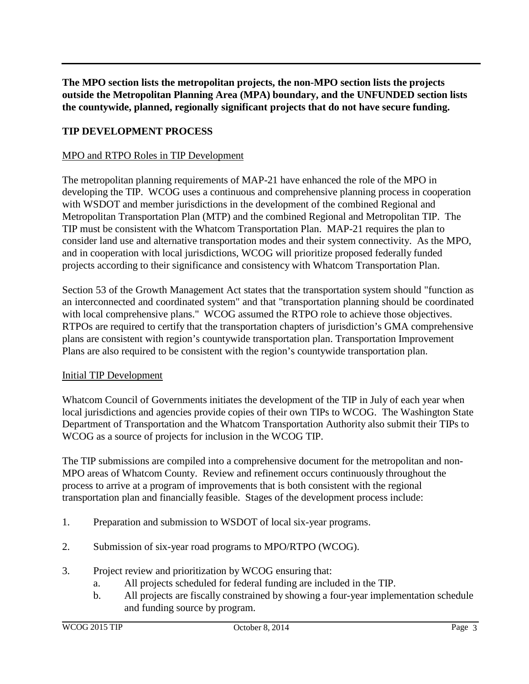**The MPO section lists the metropolitan projects, the non-MPO section lists the projects outside the Metropolitan Planning Area (MPA) boundary, and the UNFUNDED section lists the countywide, planned, regionally significant projects that do not have secure funding.**

# **TIP DEVELOPMENT PROCESS**

# MPO and RTPO Roles in TIP Development

The metropolitan planning requirements of MAP-21 have enhanced the role of the MPO in developing the TIP. WCOG uses a continuous and comprehensive planning process in cooperation with WSDOT and member jurisdictions in the development of the combined Regional and Metropolitan Transportation Plan (MTP) and the combined Regional and Metropolitan TIP. The TIP must be consistent with the Whatcom Transportation Plan. MAP-21 requires the plan to consider land use and alternative transportation modes and their system connectivity. As the MPO, and in cooperation with local jurisdictions, WCOG will prioritize proposed federally funded projects according to their significance and consistency with Whatcom Transportation Plan.

Section 53 of the Growth Management Act states that the transportation system should "function as an interconnected and coordinated system" and that "transportation planning should be coordinated with local comprehensive plans." WCOG assumed the RTPO role to achieve those objectives. RTPOs are required to certify that the transportation chapters of jurisdiction's GMA comprehensive plans are consistent with region's countywide transportation plan. Transportation Improvement Plans are also required to be consistent with the region's countywide transportation plan.

#### Initial TIP Development

Whatcom Council of Governments initiates the development of the TIP in July of each year when local jurisdictions and agencies provide copies of their own TIPs to WCOG. The Washington State Department of Transportation and the Whatcom Transportation Authority also submit their TIPs to WCOG as a source of projects for inclusion in the WCOG TIP.

The TIP submissions are compiled into a comprehensive document for the metropolitan and non-MPO areas of Whatcom County. Review and refinement occurs continuously throughout the process to arrive at a program of improvements that is both consistent with the regional transportation plan and financially feasible. Stages of the development process include:

- 1. Preparation and submission to WSDOT of local six-year programs.
- 2. Submission of six-year road programs to MPO/RTPO (WCOG).
- 3. Project review and prioritization by WCOG ensuring that:
	- a. All projects scheduled for federal funding are included in the TIP.
	- b. All projects are fiscally constrained by showing a four-year implementation schedule and funding source by program.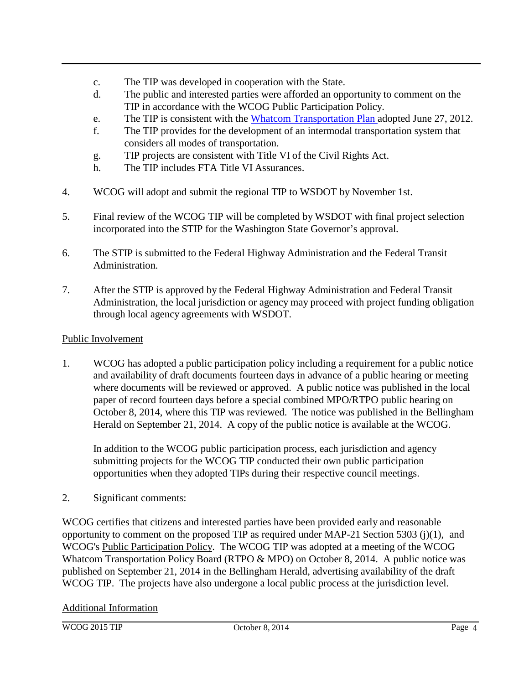- c. The TIP was developed in cooperation with the State.
- d. The public and interested parties were afforded an opportunity to comment on the TIP in accordance with the WCOG Public Participation Policy.
- e. The TIP is consistent with the [Whatcom Transportation](http://wcog.org/planning/wtp/) Plan adopted June 27, 2012.
- f. The TIP provides for the development of an intermodal transportation system that considers all modes of transportation.
- g. TIP projects are consistent with Title VI of the Civil Rights Act.
- h. The TIP includes FTA Title VI Assurances.
- 4. WCOG will adopt and submit the regional TIP to WSDOT by November 1st.
- 5. Final review of the WCOG TIP will be completed by WSDOT with final project selection incorporated into the STIP for the Washington State Governor's approval.
- 6. The STIP is submitted to the Federal Highway Administration and the Federal Transit Administration.
- 7. After the STIP is approved by the Federal Highway Administration and Federal Transit Administration, the local jurisdiction or agency may proceed with project funding obligation through local agency agreements with WSDOT.

# Public Involvement

1. WCOG has adopted a public participation policy including a requirement for a public notice and availability of draft documents fourteen days in advance of a public hearing or meeting where documents will be reviewed or approved. A public notice was published in the local paper of record fourteen days before a special combined MPO/RTPO public hearing on October 8, 2014, where this TIP was reviewed. The notice was published in the Bellingham Herald on September 21, 2014. A copy of the public notice is available at the WCOG.

In addition to the WCOG public participation process, each jurisdiction and agency submitting projects for the WCOG TIP conducted their own public participation opportunities when they adopted TIPs during their respective council meetings.

2. Significant comments:

WCOG certifies that citizens and interested parties have been provided early and reasonable opportunity to comment on the proposed TIP as required under MAP-21 Section 5303 (j)(1), and WCOG's Public Participation Policy. The WCOG TIP was adopted at a meeting of the WCOG Whatcom Transportation Policy Board (RTPO & MPO) on October 8, 2014. A public notice was published on September 21, 2014 in the Bellingham Herald, advertising availability of the draft WCOG TIP. The projects have also undergone a local public process at the jurisdiction level.

#### Additional Information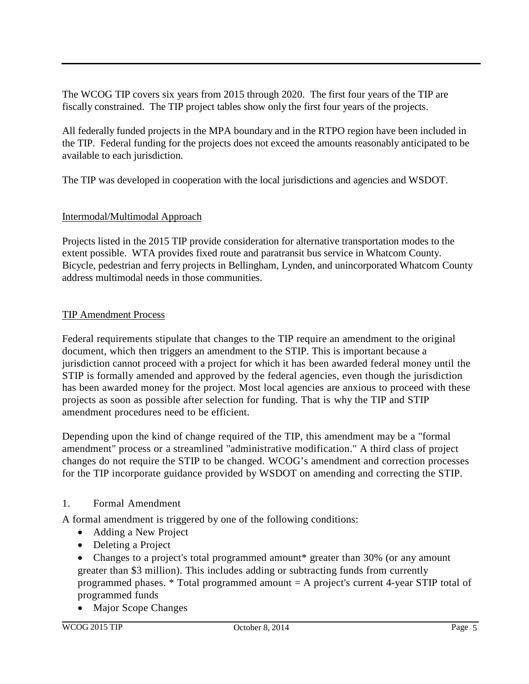The WCOG TIP covers six years from 2015 through 2020. The first four years of the TIP are fiscally constrained. The TIP project tables show only the first four years of the projects.

All federally funded projects in the MPA boundary and in the RTPO region have been included in the TIP. Federal funding for the projects does not exceed the amounts reasonably anticipated to be available to each jurisdiction.

The TIP was developed in cooperation with the local jurisdictions and agencies and WSDOT.

# Intermodal/Multimodal Approach

Projects listed in the 2015 TIP provide consideration for alternative transportation modes to the extent possible. WTA provides fixed route and paratransit bus service in Whatcom County. Bicycle, pedestrian and ferry projects in Bellingham, Lynden, and unincorporated Whatcom County address multimodal needs in those communities.

# TIP Amendment Process

Federal requirements stipulate that changes to the TIP require an amendment to the original document, which then triggers an amendment to the STIP. This is important because a jurisdiction cannot proceed with a project for which it has been awarded federal money until the STIP is formally amended and approved by the federal agencies, even though the jurisdiction has been awarded money for the project. Most local agencies are anxious to proceed with these projects as soon as possible after selection for funding. That is why the TIP and STIP amendment procedures need to be efficient.

Depending upon the kind of change required of the TIP, this amendment may be a "formal amendment" process or a streamlined "administrative modification." A third class of project changes do not require the STIP to be changed. WCOG's amendment and correction processes for the TIP incorporate guidance provided by WSDOT on amending and correcting the STIP.

# 1. Formal Amendment

A formal amendment is triggered by one of the following conditions:

- Adding a New Project
- Deleting a Project
- Changes to a project's total programmed amount\* greater than 30% (or any amount greater than \$3 million). This includes adding or subtracting funds from currently programmed phases. \* Total programmed amount = A project's current 4-year STIP total of programmed funds
- Major Scope Changes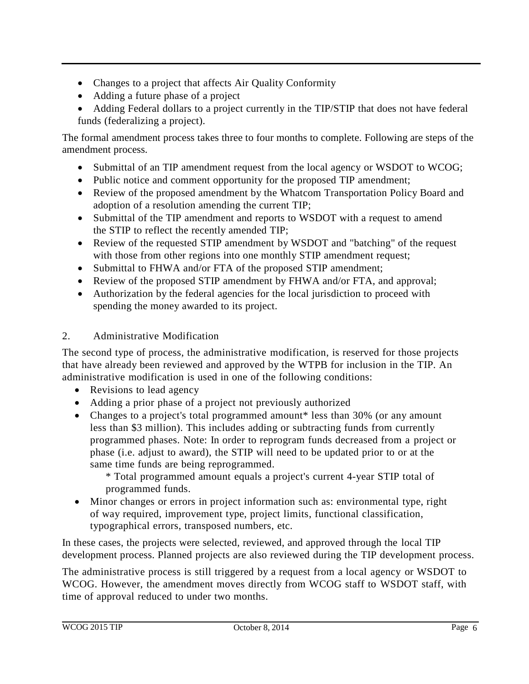- Changes to a project that affects Air Quality Conformity
- Adding a future phase of a project
- Adding Federal dollars to a project currently in the TIP/STIP that does not have federal funds (federalizing a project).

The formal amendment process takes three to four months to complete. Following are steps of the amendment process.

- Submittal of an TIP amendment request from the local agency or WSDOT to WCOG;
- Public notice and comment opportunity for the proposed TIP amendment;
- Review of the proposed amendment by the Whatcom Transportation Policy Board and adoption of a resolution amending the current TIP;
- Submittal of the TIP amendment and reports to WSDOT with a request to amend the STIP to reflect the recently amended TIP;
- Review of the requested STIP amendment by WSDOT and "batching" of the request with those from other regions into one monthly STIP amendment request;
- Submittal to FHWA and/or FTA of the proposed STIP amendment;
- Review of the proposed STIP amendment by FHWA and/or FTA, and approval;
- Authorization by the federal agencies for the local jurisdiction to proceed with spending the money awarded to its project.

# 2. Administrative Modification

The second type of process, the administrative modification, is reserved for those projects that have already been reviewed and approved by the WTPB for inclusion in the TIP. An administrative modification is used in one of the following conditions:

- Revisions to lead agency
- Adding a prior phase of a project not previously authorized
- Changes to a project's total programmed amount\* less than 30% (or any amount less than \$3 million). This includes adding or subtracting funds from currently programmed phases. Note: In order to reprogram funds decreased from a project or phase (i.e. adjust to award), the STIP will need to be updated prior to or at the same time funds are being reprogrammed.

\* Total programmed amount equals a project's current 4-year STIP total of programmed funds.

• Minor changes or errors in project information such as: environmental type, right of way required, improvement type, project limits, functional classification, typographical errors, transposed numbers, etc.

In these cases, the projects were selected, reviewed, and approved through the local TIP development process. Planned projects are also reviewed during the TIP development process.

The administrative process is still triggered by a request from a local agency or WSDOT to WCOG. However, the amendment moves directly from WCOG staff to WSDOT staff, with time of approval reduced to under two months.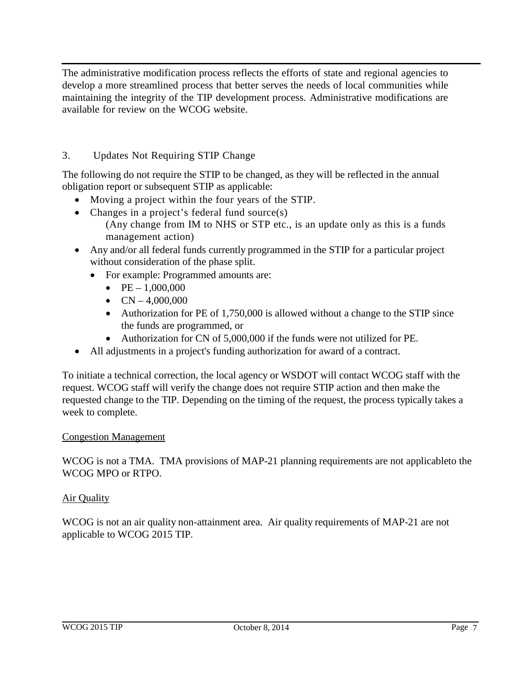The administrative modification process reflects the efforts of state and regional agencies to develop a more streamlined process that better serves the needs of local communities while maintaining the integrity of the TIP development process. Administrative modifications are available for review on the WCOG website.

# 3. Updates Not Requiring STIP Change

The following do not require the STIP to be changed, as they will be reflected in the annual obligation report or subsequent STIP as applicable:

- Moving a project within the four years of the STIP.
- Changes in a project's federal fund source(s)
	- (Any change from IM to NHS or STP etc., is an update only as this is a funds management action)
- Any and/or all federal funds currently programmed in the STIP for a particular project without consideration of the phase split.
	- For example: Programmed amounts are:
		- $PE 1,000,000$
		- $CN 4,000,000$
		- Authorization for PE of 1,750,000 is allowed without a change to the STIP since the funds are programmed, or
		- Authorization for CN of 5,000,000 if the funds were not utilized for PE.
- All adjustments in a project's funding authorization for award of a contract.

To initiate a technical correction, the local agency or WSDOT will contact WCOG staff with the request. WCOG staff will verify the change does not require STIP action and then make the requested change to the TIP. Depending on the timing of the request, the process typically takes a week to complete.

#### Congestion Management

WCOG is not a TMA. TMA provisions of MAP-21 planning requirements are not applicableto the WCOG MPO or RTPO.

#### Air Quality

WCOG is not an air quality non-attainment area. Air quality requirements of MAP-21 are not applicable to WCOG 2015 TIP.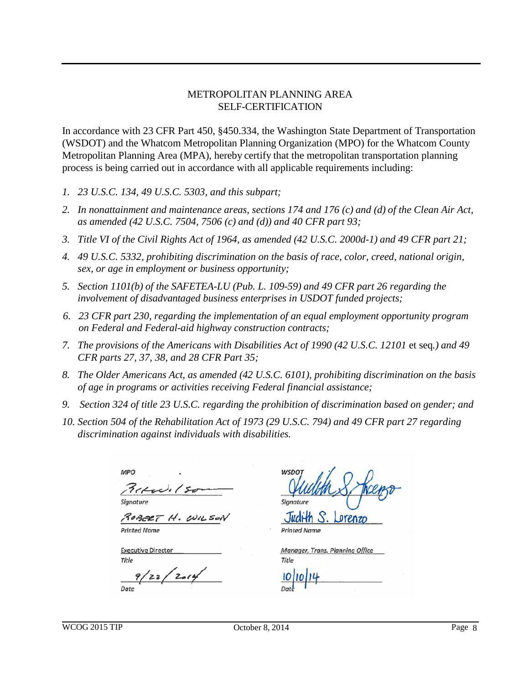#### METROPOLITAN PLANNING AREA SELF-CERTIFICATION

In accordance with 23 CFR Part 450, §450.334, the Washington State Department of Transportation (WSDOT) and the Whatcom Metropolitan Planning Organization (MPO) for the Whatcom County Metropolitan Planning Area (MPA), hereby certify that the metropolitan transportation planning process is being carried out in accordance with all applicable requirements including:

- *1. 23 U.S.C. 134, 49 U.S.C. 5303, and this subpart;*
- *2. In nonattainment and maintenance areas, sections 174 and 176 (c) and (d) of the Clean Air Act, as amended (42 U.S.C. 7504, 7506 (c) and (d)) and 40 CFR part 93;*
- *3. Title VI of the Civil Rights Act of 1964, as amended (42 U.S.C. 2000d-1) and 49 CFR part 21;*
- *4. 49 U.S.C. 5332, prohibiting discrimination on the basis of race, color, creed, national origin, sex, or age in employment or business opportunity;*
- *5. Section 1101(b) of the SAFETEA-LU (Pub. L. 109-59) and 49 CFR part 26 regarding the involvement of disadvantaged business enterprises in USDOT funded projects;*
- *6. 23 CFR part 230, regarding the implementation of an equal employment opportunity program on Federal and Federal-aid highway construction contracts;*
- *7. The provisions of the Americans with Disabilities Act of 1990 (42 U.S.C. 12101* et seq*.) and 49 CFR parts 27, 37, 38, and 28 CFR Part 35;*
- *8. The Older Americans Act, as amended (42 U.S.C. 6101), prohibiting discrimination on the basis of age in programs or activities receiving Federal financial assistance;*
- *9. Section 324 of title 23 U.S.C. regarding the prohibition of discrimination based on gender; and*
- *10. Section 504 of the Rehabilitation Act of 1973 (29 U.S.C. 794) and 49 CFR part 27 regarding discrimination against individuals with disabilities.*

MPO  $R$ ckel 15

ROBERT H. WILSON **Printed Name** 

**Executive Director** 

Title

 $122/2014$ 

Judith **Printed Name** 

Manager, Trans. Planning Office Title

<u>10</u>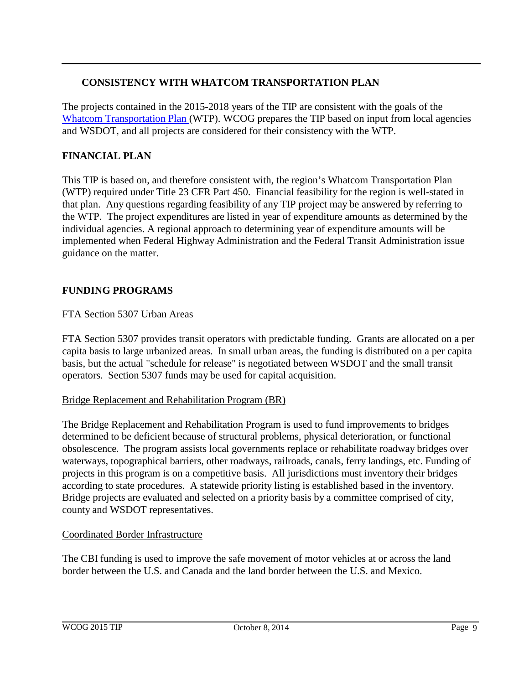# **CONSISTENCY WITH WHATCOM TRANSPORTATION PLAN**

The projects contained in the 2015-2018 years of the TIP are consistent with the goals of the [Whatcom Transportation](http://wcog.org/planning/wtp/) Plan (WTP). WCOG prepares the TIP based on input from local agencies and WSDOT, and all projects are considered for their consistency with the WTP.

# **FINANCIAL PLAN**

This TIP is based on, and therefore consistent with, the region's Whatcom Transportation Plan (WTP) required under Title 23 CFR Part 450. Financial feasibility for the region is well-stated in that plan. Any questions regarding feasibility of any TIP project may be answered by referring to the WTP. The project expenditures are listed in year of expenditure amounts as determined by the individual agencies. A regional approach to determining year of expenditure amounts will be implemented when Federal Highway Administration and the Federal Transit Administration issue guidance on the matter.

# **FUNDING PROGRAMS**

# FTA Section 5307 Urban Areas

FTA Section 5307 provides transit operators with predictable funding. Grants are allocated on a per capita basis to large urbanized areas. In small urban areas, the funding is distributed on a per capita basis, but the actual "schedule for release" is negotiated between WSDOT and the small transit operators. Section 5307 funds may be used for capital acquisition.

# Bridge Replacement and Rehabilitation Program (BR)

The Bridge Replacement and Rehabilitation Program is used to fund improvements to bridges determined to be deficient because of structural problems, physical deterioration, or functional obsolescence. The program assists local governments replace or rehabilitate roadway bridges over waterways, topographical barriers, other roadways, railroads, canals, ferry landings, etc. Funding of projects in this program is on a competitive basis. All jurisdictions must inventory their bridges according to state procedures. A statewide priority listing is established based in the inventory. Bridge projects are evaluated and selected on a priority basis by a committee comprised of city, county and WSDOT representatives.

#### Coordinated Border Infrastructure

The CBI funding is used to improve the safe movement of motor vehicles at or across the land border between the U.S. and Canada and the land border between the U.S. and Mexico.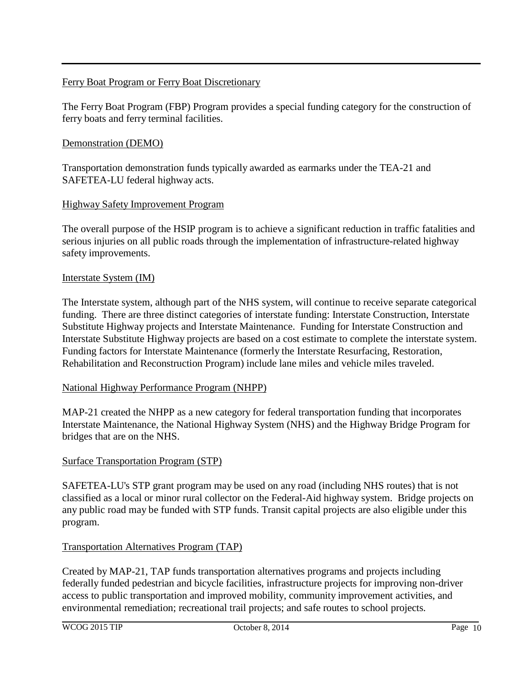# Ferry Boat Program or Ferry Boat Discretionary

The Ferry Boat Program (FBP) Program provides a special funding category for the construction of ferry boats and ferry terminal facilities.

# Demonstration (DEMO)

Transportation demonstration funds typically awarded as earmarks under the TEA-21 and SAFETEA-LU federal highway acts.

#### Highway Safety Improvement Program

The overall purpose of the HSIP program is to achieve a significant reduction in traffic fatalities and serious injuries on all public roads through the implementation of infrastructure-related highway safety improvements.

#### Interstate System (IM)

The Interstate system, although part of the NHS system, will continue to receive separate categorical funding. There are three distinct categories of interstate funding: Interstate Construction, Interstate Substitute Highway projects and Interstate Maintenance. Funding for Interstate Construction and Interstate Substitute Highway projects are based on a cost estimate to complete the interstate system. Funding factors for Interstate Maintenance (formerly the Interstate Resurfacing, Restoration, Rehabilitation and Reconstruction Program) include lane miles and vehicle miles traveled.

#### National Highway Performance Program (NHPP)

MAP-21 created the NHPP as a new category for federal transportation funding that incorporates Interstate Maintenance, the National Highway System (NHS) and the Highway Bridge Program for bridges that are on the NHS.

#### Surface Transportation Program (STP)

SAFETEA-LU's STP grant program may be used on any road (including NHS routes) that is not classified as a local or minor rural collector on the Federal-Aid highway system. Bridge projects on any public road may be funded with STP funds. Transit capital projects are also eligible under this program.

#### Transportation Alternatives Program (TAP)

Created by MAP-21, TAP funds transportation alternatives programs and projects including federally funded pedestrian and bicycle facilities, infrastructure projects for improving non-driver access to public transportation and improved mobility, community improvement activities, and environmental remediation; recreational trail projects; and safe routes to school projects.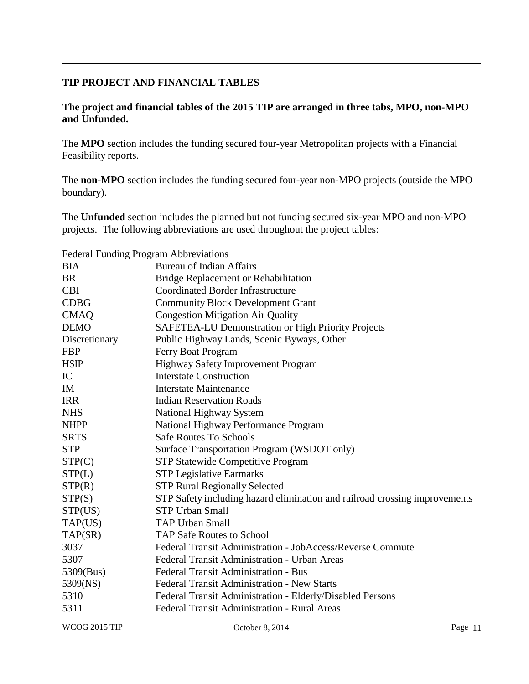# **TIP PROJECT AND FINANCIAL TABLES**

#### **The project and financial tables of the 2015 TIP are arranged in three tabs, MPO, non-MPO and Unfunded.**

The **MPO** section includes the funding secured four-year Metropolitan projects with a Financial Feasibility reports.

The **non-MPO** section includes the funding secured four-year non-MPO projects (outside the MPO boundary).

The **Unfunded** section includes the planned but not funding secured six-year MPO and non-MPO projects. The following abbreviations are used throughout the project tables:

Federal Funding Program Abbreviations

| <b>BIA</b>    | <b>Bureau of Indian Affairs</b>                                            |
|---------------|----------------------------------------------------------------------------|
| <b>BR</b>     | Bridge Replacement or Rehabilitation                                       |
| <b>CBI</b>    | <b>Coordinated Border Infrastructure</b>                                   |
| <b>CDBG</b>   | <b>Community Block Development Grant</b>                                   |
| <b>CMAQ</b>   | <b>Congestion Mitigation Air Quality</b>                                   |
| <b>DEMO</b>   | <b>SAFETEA-LU Demonstration or High Priority Projects</b>                  |
| Discretionary | Public Highway Lands, Scenic Byways, Other                                 |
| <b>FBP</b>    | Ferry Boat Program                                                         |
| <b>HSIP</b>   | <b>Highway Safety Improvement Program</b>                                  |
| IC            | <b>Interstate Construction</b>                                             |
| IM            | <b>Interstate Maintenance</b>                                              |
| <b>IRR</b>    | <b>Indian Reservation Roads</b>                                            |
| <b>NHS</b>    | National Highway System                                                    |
| <b>NHPP</b>   | National Highway Performance Program                                       |
| <b>SRTS</b>   | <b>Safe Routes To Schools</b>                                              |
| <b>STP</b>    | Surface Transportation Program (WSDOT only)                                |
| STP(C)        | STP Statewide Competitive Program                                          |
| STP(L)        | <b>STP Legislative Earmarks</b>                                            |
| STP(R)        | <b>STP Rural Regionally Selected</b>                                       |
| STP(S)        | STP Safety including hazard elimination and railroad crossing improvements |
| STP(US)       | <b>STP Urban Small</b>                                                     |
| TAP(US)       | <b>TAP Urban Small</b>                                                     |
| TAP(SR)       | <b>TAP Safe Routes to School</b>                                           |
| 3037          | Federal Transit Administration - JobAccess/Reverse Commute                 |
| 5307          | Federal Transit Administration - Urban Areas                               |
| 5309(Bus)     | Federal Transit Administration - Bus                                       |
| 5309(NS)      | Federal Transit Administration - New Starts                                |
| 5310          | Federal Transit Administration - Elderly/Disabled Persons                  |
| 5311          | Federal Transit Administration - Rural Areas                               |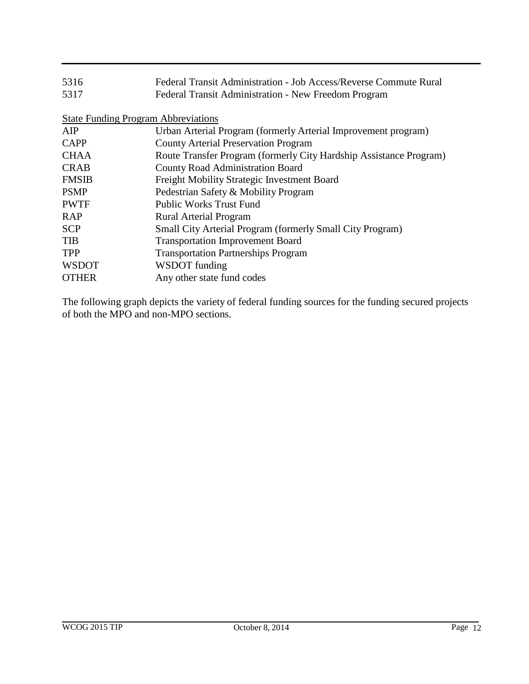| 5316                                       | Federal Transit Administration - Job Access/Reverse Commute Rural  |
|--------------------------------------------|--------------------------------------------------------------------|
| 5317                                       | Federal Transit Administration - New Freedom Program               |
|                                            |                                                                    |
| <b>State Funding Program Abbreviations</b> |                                                                    |
| AIP                                        | Urban Arterial Program (formerly Arterial Improvement program)     |
| <b>CAPP</b>                                | <b>County Arterial Preservation Program</b>                        |
| <b>CHAA</b>                                | Route Transfer Program (formerly City Hardship Assistance Program) |
| <b>CRAB</b>                                | <b>County Road Administration Board</b>                            |
| <b>FMSIB</b>                               | <b>Freight Mobility Strategic Investment Board</b>                 |
| <b>PSMP</b>                                | Pedestrian Safety & Mobility Program                               |
| <b>PWTF</b>                                | <b>Public Works Trust Fund</b>                                     |
| <b>RAP</b>                                 | <b>Rural Arterial Program</b>                                      |
| <b>SCP</b>                                 | <b>Small City Arterial Program (formerly Small City Program)</b>   |
| <b>TIB</b>                                 | <b>Transportation Improvement Board</b>                            |
| <b>TPP</b>                                 | <b>Transportation Partnerships Program</b>                         |
| <b>WSDOT</b>                               | WSDOT funding                                                      |
| <b>OTHER</b>                               | Any other state fund codes                                         |

The following graph depicts the variety of federal funding sources for the funding secured projects of both the MPO and non-MPO sections.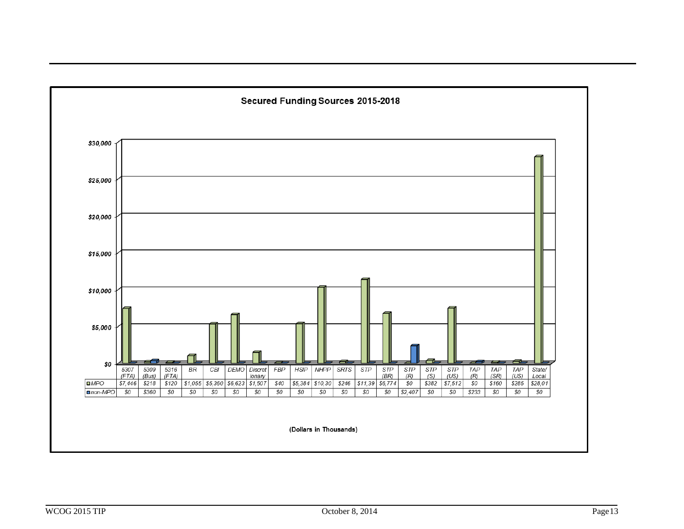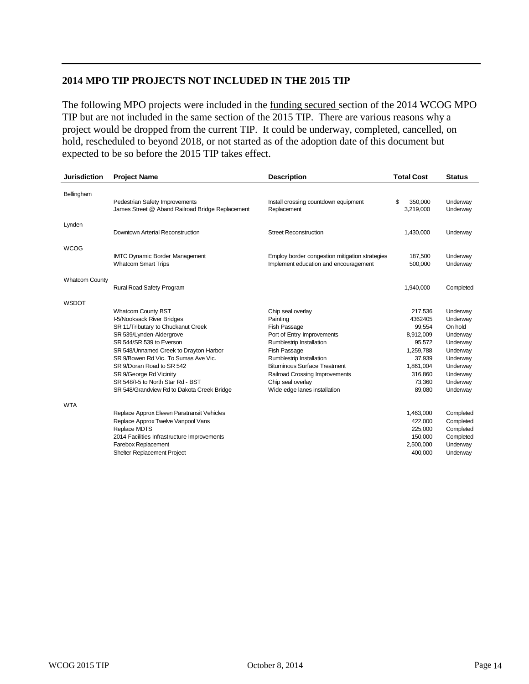# **2014 MPO TIP PROJECTS NOT INCLUDED IN THE 2015 TIP**

The following MPO projects were included in the funding secured section of the 2014 WCOG MPO TIP but are not included in the same section of the 2015 TIP. There are various reasons why a project would be dropped from the current TIP. It could be underway, completed, cancelled, on hold, rescheduled to beyond 2018, or not started as of the adoption date of this document but expected to be so before the 2015 TIP takes effect.

| <b>Jurisdiction</b><br><b>Project Name</b><br><b>Description</b> |                                                                                    | <b>Total Cost</b>                                                                       | <b>Status</b>              |                      |
|------------------------------------------------------------------|------------------------------------------------------------------------------------|-----------------------------------------------------------------------------------------|----------------------------|----------------------|
| Bellingham                                                       |                                                                                    |                                                                                         |                            |                      |
|                                                                  | Pedestrian Safety Improvements<br>James Street @ Aband Railroad Bridge Replacement | Install crossing countdown equipment<br>Replacement                                     | \$<br>350,000<br>3,219,000 | Underway<br>Underway |
| Lynden                                                           | Downtown Arterial Reconstruction                                                   | <b>Street Reconstruction</b>                                                            | 1,430,000                  | Underway             |
| <b>WCOG</b>                                                      |                                                                                    |                                                                                         |                            |                      |
|                                                                  | <b>IMTC Dynamic Border Management</b><br><b>Whatcom Smart Trips</b>                | Employ border congestion mitigation strategies<br>Implement education and encouragement | 187,500<br>500,000         | Underway<br>Underway |
| <b>Whatcom County</b>                                            | Rural Road Safety Program                                                          |                                                                                         | 1,940,000                  | Completed            |
|                                                                  |                                                                                    |                                                                                         |                            |                      |
| <b>WSDOT</b>                                                     | <b>Whatcom County BST</b>                                                          | Chip seal overlay                                                                       | 217,536                    | Underway             |
|                                                                  | I-5/Nooksack River Bridges                                                         | Painting                                                                                | 4362405                    | Underway             |
|                                                                  | SR 11/Tributary to Chuckanut Creek                                                 | <b>Fish Passage</b>                                                                     | 99,554                     | On hold              |
|                                                                  | SR 539/Lynden-Aldergrove                                                           | Port of Entry Improvements                                                              | 8,912,009                  | Underway             |
|                                                                  | SR 544/SR 539 to Everson                                                           | Rumblestrip Installation                                                                | 95,572                     | Underway             |
|                                                                  | SR 548/Unnamed Creek to Drayton Harbor                                             | Fish Passage                                                                            | 1,259,788                  | Underway             |
|                                                                  | SR 9/Bowen Rd Vic. To Sumas Ave Vic.                                               | Rumblestrip Installation                                                                | 37,939                     | Underway             |
|                                                                  | SR 9/Doran Road to SR 542                                                          | <b>Bituminous Surface Treatment</b>                                                     | 1,861,004                  | Underway             |
|                                                                  | SR 9/George Rd Vicinity                                                            | Railroad Crossing Improvements                                                          | 316,860                    | Underway             |
|                                                                  | SR 548/I-5 to North Star Rd - BST                                                  | Chip seal overlay                                                                       | 73,360                     | Underway             |
|                                                                  | SR 548/Grandview Rd to Dakota Creek Bridge                                         | Wide edge lanes installation                                                            | 89,080                     | Underway             |
| <b>WTA</b>                                                       |                                                                                    |                                                                                         |                            |                      |
|                                                                  | Replace Approx Eleven Paratransit Vehicles                                         |                                                                                         | 1,463,000                  | Completed            |
|                                                                  | Replace Approx Twelve Vanpool Vans                                                 |                                                                                         | 422,000                    | Completed            |
|                                                                  | <b>Replace MDTS</b>                                                                |                                                                                         | 225,000                    | Completed            |
|                                                                  | 2014 Facilities Infrastructure Improvements                                        |                                                                                         | 150,000                    | Completed            |
|                                                                  | <b>Farebox Replacement</b>                                                         |                                                                                         | 2,500,000                  | Underway             |
|                                                                  | Shelter Replacement Project                                                        |                                                                                         | 400,000                    | Underway             |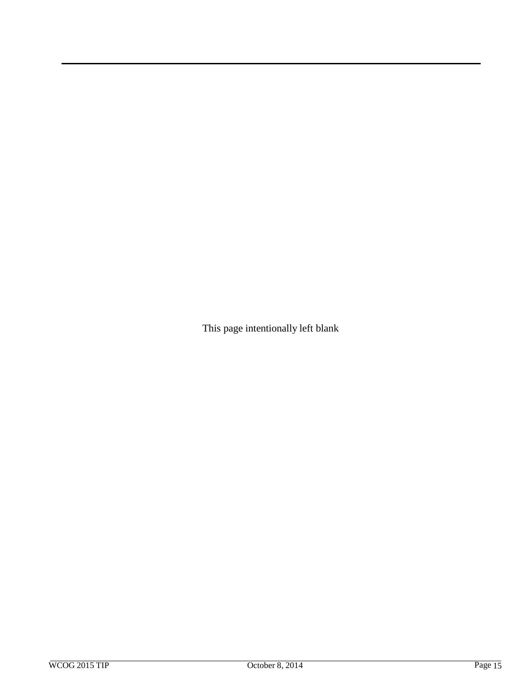This page intentionally left blank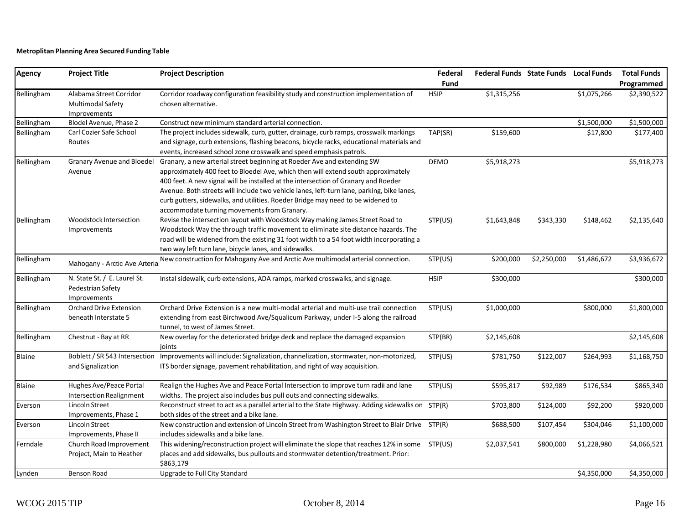| <b>Agency</b> | <b>Project Title</b>                                                | <b>Project Description</b>                                                                                                                                                                                                                                                                                                                                                                                                                                                        | <b>Federal</b> | Federal Funds State Funds Local Funds |             |             | <b>Total Funds</b> |
|---------------|---------------------------------------------------------------------|-----------------------------------------------------------------------------------------------------------------------------------------------------------------------------------------------------------------------------------------------------------------------------------------------------------------------------------------------------------------------------------------------------------------------------------------------------------------------------------|----------------|---------------------------------------|-------------|-------------|--------------------|
|               |                                                                     |                                                                                                                                                                                                                                                                                                                                                                                                                                                                                   | <b>Fund</b>    |                                       |             |             | Programmed         |
| Bellingham    | Alabama Street Corridor<br><b>Multimodal Safety</b><br>Improvements | Corridor roadway configuration feasibility study and construction implementation of<br>chosen alternative.                                                                                                                                                                                                                                                                                                                                                                        | <b>HSIP</b>    | \$1,315,256                           |             | \$1,075,266 | \$2,390,522        |
| Bellingham    | Blodel Avenue, Phase 2                                              | Construct new minimum standard arterial connection.                                                                                                                                                                                                                                                                                                                                                                                                                               |                |                                       |             | \$1,500,000 | \$1,500,000        |
| Bellingham    | Carl Cozier Safe School                                             | The project includes sidewalk, curb, gutter, drainage, curb ramps, crosswalk markings                                                                                                                                                                                                                                                                                                                                                                                             | TAP(SR)        | \$159,600                             |             | \$17,800    | \$177,400          |
|               | Routes                                                              | and signage, curb extensions, flashing beacons, bicycle racks, educational materials and<br>events, increased school zone crosswalk and speed emphasis patrols.                                                                                                                                                                                                                                                                                                                   |                |                                       |             |             |                    |
| Bellingham    | <b>Granary Avenue and Bloedel</b><br>Avenue                         | Granary, a new arterial street beginning at Roeder Ave and extending SW<br>approximately 400 feet to Bloedel Ave, which then will extend south approximately<br>400 feet. A new signal will be installed at the intersection of Granary and Roeder<br>Avenue. Both streets will include two vehicle lanes, left-turn lane, parking, bike lanes,<br>curb gutters, sidewalks, and utilities. Roeder Bridge may need to be widened to<br>accommodate turning movements from Granary. | <b>DEMO</b>    | \$5,918,273                           |             |             | \$5,918,273        |
| Bellingham    | Woodstock Intersection<br>Improvements                              | Revise the intersection layout with Woodstock Way making James Street Road to<br>Woodstock Way the through traffic movement to eliminate site distance hazards. The<br>road will be widened from the existing 31 foot width to a 54 foot width incorporating a<br>two way left turn lane, bicycle lanes, and sidewalks.                                                                                                                                                           | STP(US)        | \$1,643,848                           | \$343,330   | \$148,462   | \$2,135,640        |
| Bellingham    | Mahogany - Arctic Ave Arteria                                       | New construction for Mahogany Ave and Arctic Ave multimodal arterial connection.                                                                                                                                                                                                                                                                                                                                                                                                  | STP(US)        | \$200,000                             | \$2,250,000 | \$1,486,672 | \$3,936,672        |
| Bellingham    | N. State St. / E. Laurel St.<br>Pedestrian Safety<br>Improvements   | Instal sidewalk, curb extensions, ADA ramps, marked crosswalks, and signage.                                                                                                                                                                                                                                                                                                                                                                                                      | <b>HSIP</b>    | \$300,000                             |             |             | \$300,000          |
| Bellingham    | <b>Orchard Drive Extension</b><br>beneath Interstate 5              | Orchard Drive Extension is a new multi-modal arterial and multi-use trail connection<br>extending from east Birchwood Ave/Squalicum Parkway, under I-5 along the railroad<br>tunnel, to west of James Street.                                                                                                                                                                                                                                                                     | STP(US)        | \$1,000,000                           |             | \$800,000   | \$1,800,000        |
| Bellingham    | Chestnut - Bay at RR                                                | New overlay for the deteriorated bridge deck and replace the damaged expansion<br>joints                                                                                                                                                                                                                                                                                                                                                                                          | STP(BR)        | \$2,145,608                           |             |             | \$2,145,608        |
| <b>Blaine</b> | Boblett / SR 543 Intersection<br>and Signalization                  | Improvements will include: Signalization, channelization, stormwater, non-motorized,<br>ITS border signage, pavement rehabilitation, and right of way acquisition.                                                                                                                                                                                                                                                                                                                | STP(US)        | \$781,750                             | \$122,007   | \$264,993   | \$1,168,750        |
| <b>Blaine</b> | Hughes Ave/Peace Portal<br>Intersection Realignment                 | Realign the Hughes Ave and Peace Portal Intersection to improve turn radii and lane<br>widths. The project also includes bus pull outs and connecting sidewalks.                                                                                                                                                                                                                                                                                                                  | STP(US)        | \$595,817                             | \$92,989    | \$176,534   | \$865,340          |
| Everson       | <b>Lincoln Street</b><br>Improvements, Phase 1                      | Reconstruct street to act as a parallel arterial to the State Highway. Adding sidewalks on STP(R)<br>both sides of the street and a bike lane.                                                                                                                                                                                                                                                                                                                                    |                | \$703,800                             | \$124,000   | \$92,200    | \$920,000          |
| Everson       | Lincoln Street<br>Improvements, Phase II                            | New construction and extension of Lincoln Street from Washington Street to Blair Drive<br>includes sidewalks and a bike lane.                                                                                                                                                                                                                                                                                                                                                     | STP(R)         | \$688,500                             | \$107,454   | \$304,046   | \$1,100,000        |
| Ferndale      | Church Road Improvement<br>Project, Main to Heather                 | This widening/reconstruction project will eliminate the slope that reaches 12% in some<br>places and add sidewalks, bus pullouts and stormwater detention/treatment. Prior:<br>\$863,179                                                                                                                                                                                                                                                                                          | STP(US)        | \$2,037,541                           | \$800,000   | \$1,228,980 | \$4,066,521        |
| Lynden        | Benson Road                                                         | Upgrade to Full City Standard                                                                                                                                                                                                                                                                                                                                                                                                                                                     |                |                                       |             | \$4,350,000 | \$4,350,000        |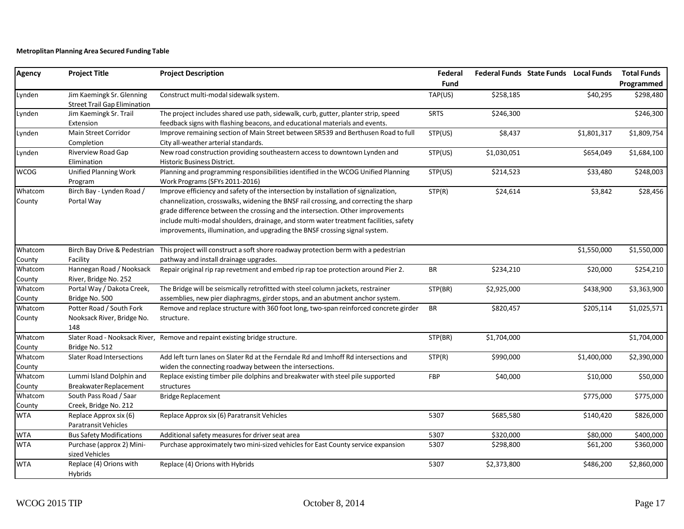| <b>Agency</b>     | <b>Project Title</b>                                             | <b>Project Description</b>                                                                                                                                                                                                                                                                                                                                                                                                            | Federal     | Federal Funds State Funds Local Funds |             | <b>Total Funds</b> |
|-------------------|------------------------------------------------------------------|---------------------------------------------------------------------------------------------------------------------------------------------------------------------------------------------------------------------------------------------------------------------------------------------------------------------------------------------------------------------------------------------------------------------------------------|-------------|---------------------------------------|-------------|--------------------|
|                   |                                                                  |                                                                                                                                                                                                                                                                                                                                                                                                                                       | <b>Fund</b> |                                       |             | Programmed         |
| Lynden            | Jim Kaemingk Sr. Glenning<br><b>Street Trail Gap Elimination</b> | Construct multi-modal sidewalk system.                                                                                                                                                                                                                                                                                                                                                                                                | TAP(US)     | \$258,185                             | \$40,295    | \$298,480          |
| Lynden            | Jim Kaemingk Sr. Trail<br>Extension                              | The project includes shared use path, sidewalk, curb, gutter, planter strip, speed<br>feedback signs with flashing beacons, and educational materials and events.                                                                                                                                                                                                                                                                     | <b>SRTS</b> | \$246,300                             |             | \$246,300          |
| Lynden            | Main Street Corridor<br>Completion                               | Improve remaining section of Main Street between SR539 and Berthusen Road to full<br>City all-weather arterial standards.                                                                                                                                                                                                                                                                                                             | STP(US)     | \$8,437                               | \$1,801,317 | \$1,809,754        |
| Lynden            | <b>Riverview Road Gap</b><br>Elimination                         | New road construction providing southeastern access to downtown Lynden and<br>Historic Business District.                                                                                                                                                                                                                                                                                                                             | STP(US)     | \$1,030,051                           | \$654,049   | \$1,684,100        |
| <b>WCOG</b>       | <b>Unified Planning Work</b><br>Program                          | Planning and programming responsibilities identified in the WCOG Unified Planning<br>Work Programs (SFYs 2011-2016)                                                                                                                                                                                                                                                                                                                   | STP(US)     | \$214,523                             | \$33,480    | \$248,003          |
| Whatcom<br>County | Birch Bay - Lynden Road /<br>Portal Way                          | Improve efficiency and safety of the intersection by installation of signalization,<br>channelization, crosswalks, widening the BNSF rail crossing, and correcting the sharp<br>grade difference between the crossing and the intersection. Other improvements<br>include multi-modal shoulders, drainage, and storm water treatment facilities, safety<br>improvements, illumination, and upgrading the BNSF crossing signal system. | STP(R)      | \$24,614                              | \$3,842     | \$28,456           |
| Whatcom<br>County | Birch Bay Drive & Pedestrian<br>Facility                         | This project will construct a soft shore roadway protection berm with a pedestrian<br>pathway and install drainage upgrades.                                                                                                                                                                                                                                                                                                          |             |                                       | \$1,550,000 | \$1,550,000        |
| Whatcom<br>County | Hannegan Road / Nooksack<br>River, Bridge No. 252                | Repair original rip rap revetment and embed rip rap toe protection around Pier 2.                                                                                                                                                                                                                                                                                                                                                     | <b>BR</b>   | \$234,210                             | \$20,000    | \$254,210          |
| Whatcom<br>County | Portal Way / Dakota Creek,<br>Bridge No. 500                     | The Bridge will be seismically retrofitted with steel column jackets, restrainer<br>assemblies, new pier diaphragms, girder stops, and an abutment anchor system.                                                                                                                                                                                                                                                                     | STP(BR)     | \$2,925,000                           | \$438,900   | \$3,363,900        |
| Whatcom<br>County | Potter Road / South Fork<br>Nooksack River, Bridge No.<br>148    | Remove and replace structure with 360 foot long, two-span reinforced concrete girder<br>structure.                                                                                                                                                                                                                                                                                                                                    | <b>BR</b>   | \$820,457                             | \$205,114   | \$1,025,571        |
| Whatcom<br>County | Bridge No. 512                                                   | Slater Road - Nooksack River, Remove and repaint existing bridge structure.                                                                                                                                                                                                                                                                                                                                                           | STP(BR)     | \$1,704,000                           |             | \$1,704,000        |
| Whatcom<br>County | <b>Slater Road Intersections</b>                                 | Add left turn lanes on Slater Rd at the Ferndale Rd and Imhoff Rd intersections and<br>widen the connecting roadway between the intersections.                                                                                                                                                                                                                                                                                        | STP(R)      | \$990,000                             | \$1,400,000 | \$2,390,000        |
| Whatcom<br>County | Lummi Island Dolphin and<br><b>Breakwater Replacement</b>        | Replace existing timber pile dolphins and breakwater with steel pile supported<br>structures                                                                                                                                                                                                                                                                                                                                          | <b>FBP</b>  | \$40,000                              | \$10,000    | \$50,000           |
| Whatcom<br>County | South Pass Road / Saar<br>Creek, Bridge No. 212                  | <b>Bridge Replacement</b>                                                                                                                                                                                                                                                                                                                                                                                                             |             |                                       | \$775,000   | \$775,000          |
| <b>WTA</b>        | Replace Approx six (6)<br><b>Paratransit Vehicles</b>            | Replace Approx six (6) Paratransit Vehicles                                                                                                                                                                                                                                                                                                                                                                                           | 5307        | \$685,580                             | \$140,420   | \$826,000          |
| <b>WTA</b>        | <b>Bus Safety Modifications</b>                                  | Additional safety measures for driver seat area                                                                                                                                                                                                                                                                                                                                                                                       | 5307        | \$320,000                             | \$80,000    | \$400,000          |
| <b>WTA</b>        | Purchase (approx 2) Mini-<br>sized Vehicles                      | Purchase approximately two mini-sized vehicles for East County service expansion                                                                                                                                                                                                                                                                                                                                                      | 5307        | \$298,800                             | \$61,200    | \$360,000          |
| <b>WTA</b>        | Replace (4) Orions with<br>Hybrids                               | Replace (4) Orions with Hybrids                                                                                                                                                                                                                                                                                                                                                                                                       | 5307        | \$2,373,800                           | \$486,200   | \$2,860,000        |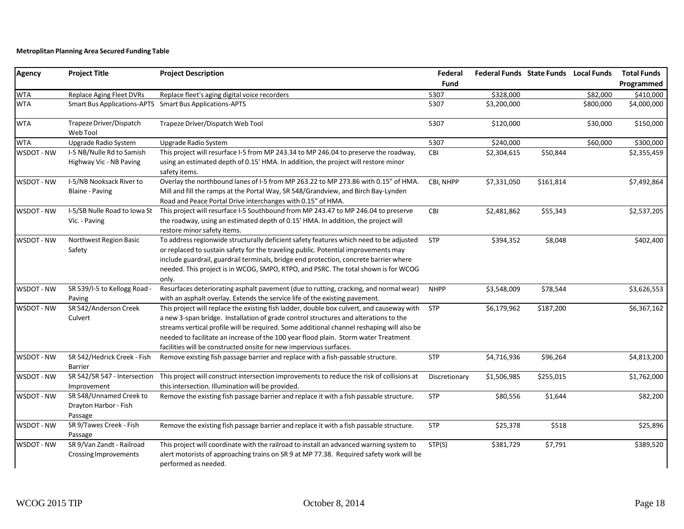| <b>Agency</b>     | <b>Project Title</b>                                        | <b>Project Description</b>                                                                                                                                                                                                                                                                                                                                                                                                                  | <b>Federal</b> | <b>Federal Funds State Funds Local Funds</b> |           |           | <b>Total Funds</b> |
|-------------------|-------------------------------------------------------------|---------------------------------------------------------------------------------------------------------------------------------------------------------------------------------------------------------------------------------------------------------------------------------------------------------------------------------------------------------------------------------------------------------------------------------------------|----------------|----------------------------------------------|-----------|-----------|--------------------|
|                   |                                                             |                                                                                                                                                                                                                                                                                                                                                                                                                                             | <b>Fund</b>    |                                              |           |           | Programmed         |
| <b>WTA</b>        | <b>Replace Aging Fleet DVRs</b>                             | Replace fleet's aging digital voice recorders                                                                                                                                                                                                                                                                                                                                                                                               | 5307           | \$328,000                                    |           | \$82,000  | \$410,000          |
| <b>WTA</b>        | <b>Smart Bus Applications-APTS</b>                          | <b>Smart Bus Applications-APTS</b>                                                                                                                                                                                                                                                                                                                                                                                                          | 5307           | \$3,200,000                                  |           | \$800,000 | \$4,000,000        |
| <b>WTA</b>        | Trapeze Driver/Dispatch<br>Web Tool                         | Trapeze Driver/Dispatch Web Tool                                                                                                                                                                                                                                                                                                                                                                                                            | 5307           | \$120,000                                    |           | \$30,000  | \$150,000          |
| <b>WTA</b>        | Upgrade Radio System                                        | Upgrade Radio System                                                                                                                                                                                                                                                                                                                                                                                                                        | 5307           | \$240,000                                    |           | \$60,000  | \$300,000          |
| WSDOT - NW        | I-5 NB/Nulle Rd to Samish<br>Highway Vic - NB Paving        | This project will resurface I-5 from MP 243.34 to MP 246.04 to preserve the roadway,<br>using an estimated depth of 0.15' HMA. In addition, the project will restore minor<br>safety items.                                                                                                                                                                                                                                                 | <b>CBI</b>     | \$2,304,615                                  | \$50,844  |           | \$2,355,459        |
| <b>WSDOT - NW</b> | I-5/NB Nooksack River to<br>Blaine - Paving                 | Overlay the northbound lanes of I-5 from MP 263.22 to MP 273.86 with 0.15" of HMA.<br>Mill and fill the ramps at the Portal Way, SR 548/Grandview, and Birch Bay-Lynden<br>Road and Peace Portal Drive interchanges with 0.15" of HMA.                                                                                                                                                                                                      | CBI, NHPP      | \$7,331,050                                  | \$161,814 |           | \$7,492,864        |
| <b>WSDOT - NW</b> | I-5/SB Nulle Road to Iowa St<br>Vic. - Paving               | This project will resurface I-5 Southbound from MP 243.47 to MP 246.04 to preserve<br>the roadway, using an estimated depth of 0.15' HMA. In addition, the project will<br>restore minor safety items.                                                                                                                                                                                                                                      | CBI            | \$2,481,862                                  | \$55,343  |           | \$2,537,205        |
| <b>WSDOT - NW</b> | Northwest Region Basic<br>Safety                            | To address regionwide structurally deficient safety features which need to be adjusted<br>or replaced to sustain safety for the traveling public. Potential improvements may<br>include guardrail, guardrail terminals, bridge end protection, concrete barrier where<br>needed. This project is in WCOG, SMPO, RTPO, and PSRC. The total shown is for WCOG<br>only.                                                                        | <b>STP</b>     | \$394,352                                    | \$8,048   |           | \$402,400          |
| <b>WSDOT - NW</b> | SR 539/I-5 to Kellogg Road -<br>Paving                      | Resurfaces deteriorating asphalt pavement (due to rutting, cracking, and normal wear)<br>with an asphalt overlay. Extends the service life of the existing pavement.                                                                                                                                                                                                                                                                        | <b>NHPP</b>    | \$3,548,009                                  | \$78,544  |           | \$3,626,553        |
| WSDOT - NW        | SR 542/Anderson Creek<br>Culvert                            | This project will replace the existing fish ladder, double box culvert, and causeway with<br>a new 3-span bridge. Installation of grade control structures and alterations to the<br>streams vertical profile will be required. Some additional channel reshaping will also be<br>needed to facilitate an increase of the 100 year flood plain. Storm water Treatment<br>facilities will be constructed onsite for new impervious surfaces. | <b>STP</b>     | \$6,179,962                                  | \$187,200 |           | \$6,367,162        |
| WSDOT - NW        | SR 542/Hedrick Creek - Fish<br><b>Barrier</b>               | Remove existing fish passage barrier and replace with a fish-passable structure.                                                                                                                                                                                                                                                                                                                                                            | <b>STP</b>     | \$4,716,936                                  | \$96,264  |           | \$4,813,200        |
| <b>WSDOT - NW</b> | SR 542/SR 547 - Intersection<br>Improvement                 | This project will construct intersection improvements to reduce the risk of collisions at<br>this intersection. Illumination will be provided.                                                                                                                                                                                                                                                                                              | Discretionary  | \$1,506,985                                  | \$255,015 |           | \$1,762,000        |
| WSDOT - NW        | SR 548/Unnamed Creek to<br>Drayton Harbor - Fish<br>Passage | Remove the existing fish passage barrier and replace it with a fish passable structure.                                                                                                                                                                                                                                                                                                                                                     | <b>STP</b>     | \$80,556                                     | \$1,644   |           | \$82,200           |
| WSDOT - NW        | SR 9/Tawes Creek - Fish<br>Passage                          | Remove the existing fish passage barrier and replace it with a fish passable structure.                                                                                                                                                                                                                                                                                                                                                     | <b>STP</b>     | \$25,378                                     | \$518     |           | \$25,896           |
| WSDOT - NW        | SR 9/Van Zandt - Railroad<br>Crossing Improvements          | This project will coordinate with the railroad to install an advanced warning system to<br>alert motorists of approaching trains on SR 9 at MP 77.38. Required safety work will be<br>performed as needed.                                                                                                                                                                                                                                  | STP(S)         | \$381,729                                    | \$7,791   |           | \$389,520          |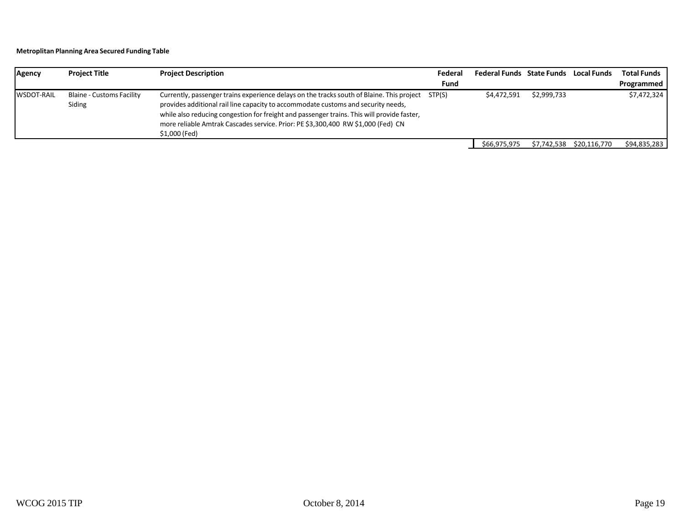| Agency            | <b>Project Title</b>                       | <b>Project Description</b>                                                                                                                                                                                                                                                                                                                                                         | <b>Federal</b> | <b>Federal Funds State Funds</b> |             | <b>Local Funds</b> | <b>Total Funds</b> |
|-------------------|--------------------------------------------|------------------------------------------------------------------------------------------------------------------------------------------------------------------------------------------------------------------------------------------------------------------------------------------------------------------------------------------------------------------------------------|----------------|----------------------------------|-------------|--------------------|--------------------|
|                   |                                            |                                                                                                                                                                                                                                                                                                                                                                                    | <b>Fund</b>    |                                  |             |                    | Programmed         |
| <b>WSDOT-RAIL</b> | <b>Blaine - Customs Facility</b><br>Siding | Currently, passenger trains experience delays on the tracks south of Blaine. This project<br>provides additional rail line capacity to accommodate customs and security needs,<br>while also reducing congestion for freight and passenger trains. This will provide faster,<br>more reliable Amtrak Cascades service. Prior: PE \$3,300,400 RW \$1,000 (Fed) CN<br>$$1,000$ (Fed) | STP(S)         | \$4,472,591                      | \$2,999,733 |                    | \$7,472,324        |
|                   |                                            |                                                                                                                                                                                                                                                                                                                                                                                    |                | \$66,975,975                     | \$7,742,538 | \$20,116,770       | \$94,835,283       |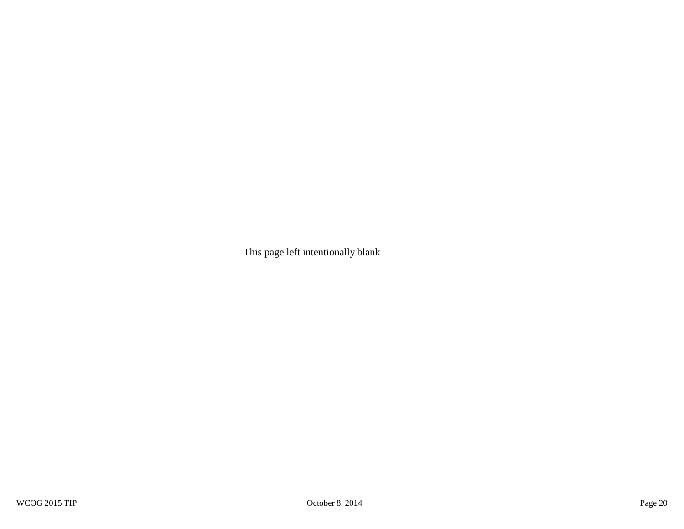This page left intentionally blank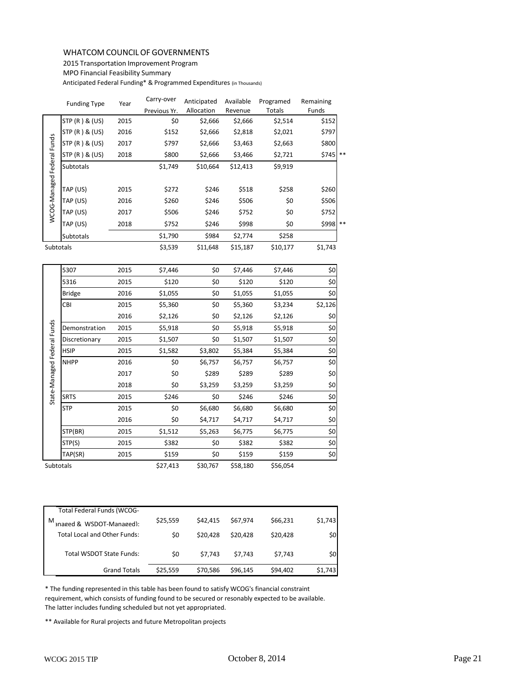# WHATCOM COUNCILOF GOVERNMENTS

2015 Transportation Improvement Program

MPO Financial Feasibility Summary

Anticipated Federal Funding\* & Programmed Expenditures (in Thousands)

|                            | <b>Funding Type</b> | Year    | Carry-over   | Anticipated | Available | Programed | Remaining     |
|----------------------------|---------------------|---------|--------------|-------------|-----------|-----------|---------------|
|                            |                     |         | Previous Yr. | Allocation  | Revenue   | Totals    | Funds         |
|                            | STP (R) & (US)      | 2015    | \$0          | \$2,666     | \$2,666   | \$2,514   | \$152         |
|                            | STP (R) & (US)      | 2016    | \$152        | \$2,666     | \$2,818   | \$2,021   | \$797         |
|                            | STP (R) & (US)      | 2017    | \$797        | \$2,666     | \$3,463   | \$2,663   | \$800         |
|                            | STP (R) & (US)      | 2018    | \$800        | \$2,666     | \$3,466   | \$2,721   | \$745<br>**   |
|                            | Subtotals           |         | \$1,749      | \$10,664    | \$12,413  | \$9,919   |               |
|                            |                     |         |              |             |           |           |               |
| WCOG-Managed Federal Funds | TAP (US)            | 2015    | \$272        | \$246       | \$518     | \$258     | \$260         |
|                            | TAP (US)            | 2016    | \$260        | \$246       | \$506     | \$0       | \$506         |
|                            | TAP (US)            | 2017    | \$506        | \$246       | \$752     | \$0       | \$752         |
|                            | TAP (US)            | 2018    | \$752        | \$246       | \$998     | \$0       | \$998<br>$**$ |
|                            | Subtotals           |         | \$1,790      | \$984       | \$2,774   | \$258     |               |
| Subtotals                  |                     | \$3,539 | \$11,648     | \$15,187    | \$10,177  | \$1,743   |               |

| Federal Funds               | STP(R) & (US)                                                                                                                                                                                                                                                         | 2017                | \$797    | \$2,666  | \$3,463         | \$2,663  | \$800     |
|-----------------------------|-----------------------------------------------------------------------------------------------------------------------------------------------------------------------------------------------------------------------------------------------------------------------|---------------------|----------|----------|-----------------|----------|-----------|
|                             | STP(R) & (US)                                                                                                                                                                                                                                                         | 2018                | \$800    | \$2,666  | \$3,466         | \$2,721  | $$745$ ** |
|                             | Subtotals                                                                                                                                                                                                                                                             |                     | \$1,749  | \$10,664 | \$12,413        | \$9,919  |           |
|                             |                                                                                                                                                                                                                                                                       |                     |          |          |                 |          |           |
| WCOG-Managed                | TAP (US)                                                                                                                                                                                                                                                              | 2015                | \$272    | \$246    | \$518           | \$258    | \$260     |
|                             | TAP (US)                                                                                                                                                                                                                                                              | 2016                | \$260    | \$246    | \$506           | \$0      | \$506     |
|                             | TAP (US)                                                                                                                                                                                                                                                              | 2017                | \$506    | \$246    | \$752           | \$0      | \$752     |
|                             | TAP (US)                                                                                                                                                                                                                                                              | 2018                | \$752    | \$246    | \$998           | \$0      | \$998 **  |
|                             | <b>Subtotals</b>                                                                                                                                                                                                                                                      |                     | \$1,790  | \$984    | \$2,774         | \$258    |           |
|                             | Subtotals                                                                                                                                                                                                                                                             |                     | \$3,539  | \$11,648 | \$15,187        | \$10,177 | \$1,743   |
|                             |                                                                                                                                                                                                                                                                       |                     |          |          |                 |          |           |
|                             | 5307                                                                                                                                                                                                                                                                  | 2015                | \$7,446  | \$0      | \$7,446         | \$7,446  | \$0       |
|                             | 5316                                                                                                                                                                                                                                                                  | 2015                | \$120    | \$0      | \$120           | \$120    | \$0       |
|                             | <b>Bridge</b>                                                                                                                                                                                                                                                         | 2016                | \$1,055  | \$0      | \$1,055         | \$1,055  | \$0       |
|                             | <b>CBI</b>                                                                                                                                                                                                                                                            | 2015                | \$5,360  | \$0      | \$5,360         | \$3,234  | \$2,126   |
|                             |                                                                                                                                                                                                                                                                       | 2016                | \$2,126  | \$0      | \$2,126         | \$2,126  | \$0       |
| State-Managed Federal Funds | Demonstration                                                                                                                                                                                                                                                         | 2015                | \$5,918  | \$0      | \$5,918         | \$5,918  | \$0       |
|                             | Discretionary                                                                                                                                                                                                                                                         | 2015                | \$1,507  | \$0      | \$1,507         | \$1,507  | \$0       |
|                             | <b>HSIP</b>                                                                                                                                                                                                                                                           | 2015                | \$1,582  | \$3,802  | \$5,384         | \$5,384  | \$0       |
|                             | <b>NHPP</b>                                                                                                                                                                                                                                                           | 2016                | \$0      | \$6,757  | \$6,757         | \$6,757  | \$0       |
|                             |                                                                                                                                                                                                                                                                       | 2017                | \$0      | \$289    | \$289           | \$289    | \$0       |
|                             |                                                                                                                                                                                                                                                                       | 2018                | \$0      | \$3,259  | \$3,259         | \$3,259  | \$0       |
|                             | <b>SRTS</b>                                                                                                                                                                                                                                                           | 2015                | \$246    | \$0      | \$246           | \$246    | \$0       |
|                             | <b>STP</b>                                                                                                                                                                                                                                                            | 2015                | \$0\$    | \$6,680  | \$6,680         | \$6,680  | \$0       |
|                             |                                                                                                                                                                                                                                                                       | 2016                | \$0      | \$4,717  | \$4,717         | \$4,717  | \$0       |
|                             | STP(BR)                                                                                                                                                                                                                                                               | 2015                | \$1,512  | \$5,263  | \$6,775         | \$6,775  | \$0       |
|                             | STP(S)                                                                                                                                                                                                                                                                | 2015                | \$382    | \$0      | \$382           | \$382    | \$0       |
|                             | TAP(SR)                                                                                                                                                                                                                                                               | 2015                | \$159    | \$0      | \$159           | \$159    | \$0       |
|                             | Subtotals                                                                                                                                                                                                                                                             |                     | \$27,413 | \$30,767 | \$58,180        | \$56,054 |           |
|                             |                                                                                                                                                                                                                                                                       |                     |          |          |                 |          |           |
|                             |                                                                                                                                                                                                                                                                       |                     |          |          |                 |          |           |
|                             | Total Federal Funds (WCOG-                                                                                                                                                                                                                                            |                     |          |          |                 |          |           |
|                             | M <sub>3</sub> naged & WSDOT-Managed):                                                                                                                                                                                                                                |                     | \$25,559 | \$42,415 | \$67,974        | \$66,231 | \$1,743   |
|                             | Total Local and Other Funds:                                                                                                                                                                                                                                          |                     | \$0      | \$20,428 | \$20,428        | \$20,428 | \$0       |
|                             | Total WSDOT State Funds:                                                                                                                                                                                                                                              |                     | \$0      | \$7,743  | \$7,743         | \$7,743  | \$0       |
|                             |                                                                                                                                                                                                                                                                       | <b>Grand Totals</b> | \$25,559 | \$70,586 | \$96,145        | \$94,402 | \$1,743   |
|                             |                                                                                                                                                                                                                                                                       |                     |          |          |                 |          |           |
|                             | * The funding represented in this table has been found to satisfy WCOG's financial constraint<br>requirement, which consists of funding found to be secured or resonably expected to be available.<br>The latter includes funding scheduled but not yet appropriated. |                     |          |          |                 |          |           |
|                             | ** Available for Rural projects and future Metropolitan projects                                                                                                                                                                                                      |                     |          |          |                 |          |           |
|                             |                                                                                                                                                                                                                                                                       |                     |          |          |                 |          |           |
|                             |                                                                                                                                                                                                                                                                       |                     |          |          |                 |          |           |
|                             | <b>WCOG 2015 TIP</b>                                                                                                                                                                                                                                                  |                     |          |          | October 8, 2014 |          |           |
|                             |                                                                                                                                                                                                                                                                       |                     |          |          |                 |          |           |

| <b>Total Federal Funds (WCOG-</b>         |          |          |          |          |         |
|-------------------------------------------|----------|----------|----------|----------|---------|
| M<br><sup>1</sup> inaged & WSDOT-Managed) | \$25,559 | \$42,415 | \$67,974 | \$66,231 | \$1,743 |
| <b>Total Local and Other Funds:</b>       | SO.      | \$20,428 | \$20,428 | \$20,428 | \$0]    |
|                                           |          |          |          |          |         |
| <b>Total WSDOT State Funds:</b>           | SO.      | \$7,743  | \$7,743  | \$7,743  | \$0     |
| <b>Grand Totals</b>                       | \$25,559 | \$70,586 | \$96,145 | \$94,402 | \$1,743 |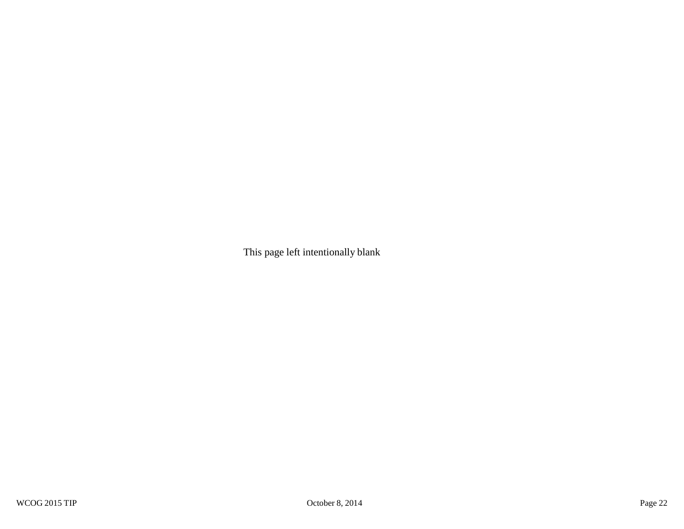This page left intentionally blank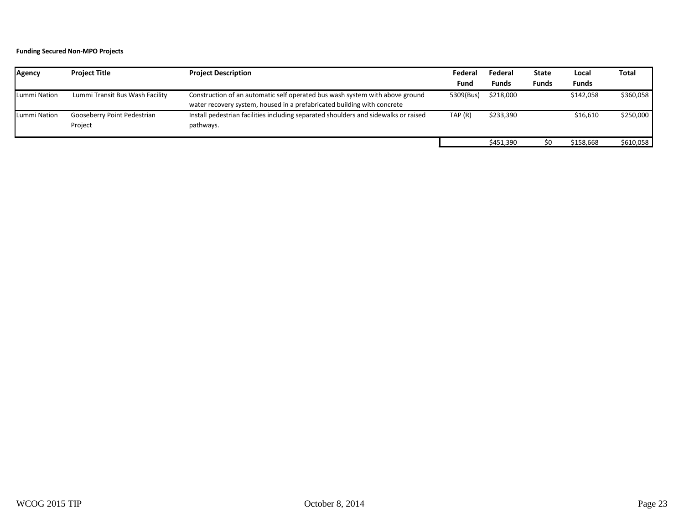# **Funding Secured Non-MPO Projects**

| Agency       | <b>Project Title</b>                   | <b>Project Description</b>                                                                                                                              | Federal<br><b>Fund</b> | <b>Federal</b><br><b>Funds</b> | <b>State</b><br><b>Funds</b> | Local<br><b>Funds</b> | <b>Total</b> |
|--------------|----------------------------------------|---------------------------------------------------------------------------------------------------------------------------------------------------------|------------------------|--------------------------------|------------------------------|-----------------------|--------------|
| Lummi Nation | Lummi Transit Bus Wash Facility        | Construction of an automatic self operated bus wash system with above ground<br>water recovery system, housed in a prefabricated building with concrete | 5309(Bus)              | \$218,000                      |                              | \$142,058             | \$360,058    |
| Lummi Nation | Gooseberry Point Pedestrian<br>Project | Install pedestrian facilities including separated shoulders and sidewalks or raised<br>pathways.                                                        | TAP(R)                 | \$233,390                      |                              | \$16,610              | \$250,000    |
|              |                                        |                                                                                                                                                         |                        | \$451,390                      | \$0                          | \$158,668             | \$610,058    |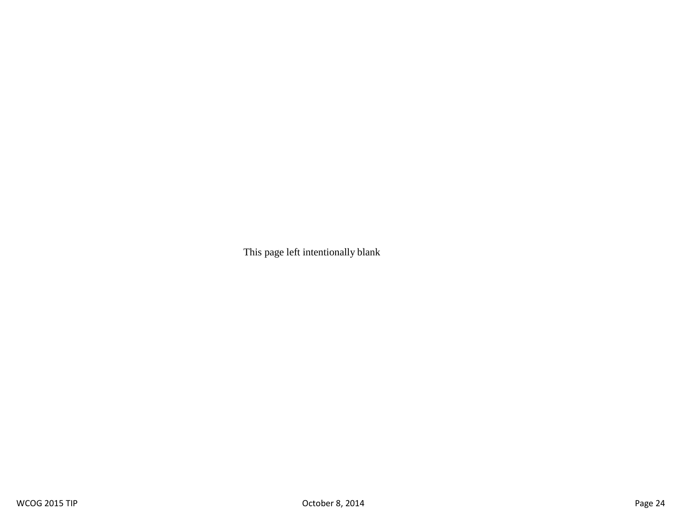This page left intentionally blank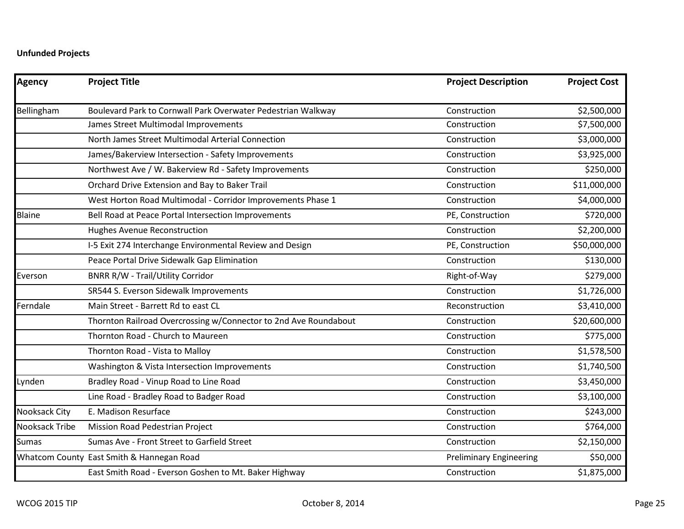# **Unfunded Projects**

| <b>Agency</b>        | <b>Project Title</b>                                             | <b>Project Description</b>     | <b>Project Cost</b> |
|----------------------|------------------------------------------------------------------|--------------------------------|---------------------|
|                      |                                                                  |                                |                     |
| Bellingham           | Boulevard Park to Cornwall Park Overwater Pedestrian Walkway     | Construction                   | \$2,500,000         |
|                      | James Street Multimodal Improvements                             | Construction                   | \$7,500,000         |
|                      | North James Street Multimodal Arterial Connection                | Construction                   | \$3,000,000         |
|                      | James/Bakerview Intersection - Safety Improvements               | Construction                   | \$3,925,000         |
|                      | Northwest Ave / W. Bakerview Rd - Safety Improvements            | Construction                   | \$250,000           |
|                      | Orchard Drive Extension and Bay to Baker Trail                   | Construction                   | \$11,000,000        |
|                      | West Horton Road Multimodal - Corridor Improvements Phase 1      | Construction                   | \$4,000,000         |
| <b>Blaine</b>        | Bell Road at Peace Portal Intersection Improvements              | PE, Construction               | \$720,000           |
|                      | Hughes Avenue Reconstruction                                     | Construction                   | \$2,200,000         |
|                      | I-5 Exit 274 Interchange Environmental Review and Design         | PE, Construction               | \$50,000,000        |
|                      | Peace Portal Drive Sidewalk Gap Elimination                      | Construction                   | \$130,000           |
| Everson              | <b>BNRR R/W - Trail/Utility Corridor</b>                         | Right-of-Way                   | \$279,000           |
|                      | SR544 S. Everson Sidewalk Improvements                           | Construction                   | \$1,726,000         |
| Ferndale             | Main Street - Barrett Rd to east CL                              | Reconstruction                 | \$3,410,000         |
|                      | Thornton Railroad Overcrossing w/Connector to 2nd Ave Roundabout | Construction                   | \$20,600,000        |
|                      | Thornton Road - Church to Maureen                                | Construction                   | \$775,000           |
|                      | Thornton Road - Vista to Malloy                                  | Construction                   | \$1,578,500         |
|                      | Washington & Vista Intersection Improvements                     | Construction                   | \$1,740,500         |
| Lynden               | Bradley Road - Vinup Road to Line Road                           | Construction                   | \$3,450,000         |
|                      | Line Road - Bradley Road to Badger Road                          | Construction                   | \$3,100,000         |
| <b>Nooksack City</b> | E. Madison Resurface                                             | Construction                   | \$243,000           |
| Nooksack Tribe       | Mission Road Pedestrian Project                                  | Construction                   | \$764,000           |
| <b>Sumas</b>         | Sumas Ave - Front Street to Garfield Street                      | Construction                   | \$2,150,000         |
|                      | Whatcom County East Smith & Hannegan Road                        | <b>Preliminary Engineering</b> | \$50,000            |
|                      | East Smith Road - Everson Goshen to Mt. Baker Highway            | Construction                   | \$1,875,000         |